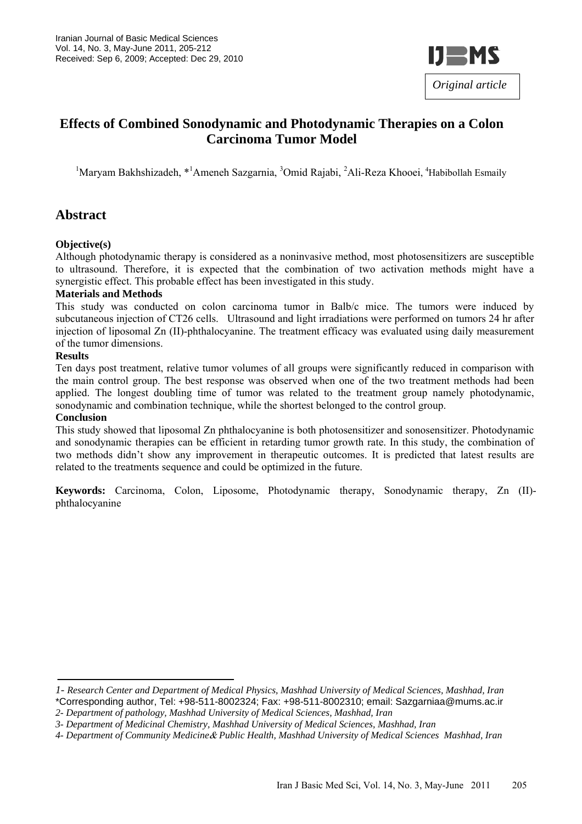

# **Effects of Combined Sonodynamic and Photodynamic Therapies on a Colon Carcinoma Tumor Model**

<sup>1</sup>Maryam Bakhshizadeh, \*<sup>1</sup>Ameneh Sazgarnia, <sup>3</sup>Omid Rajabi, <sup>2</sup>Ali-Reza Khooei, <sup>4</sup>Habibollah Esmaily

# **Abstract**

#### **Objective(s)**

Although photodynamic therapy is considered as a noninvasive method, most photosensitizers are susceptible to ultrasound. Therefore, it is expected that the combination of two activation methods might have a synergistic effect. This probable effect has been investigated in this study.

#### **Materials and Methods**

This study was conducted on colon carcinoma tumor in Balb/c mice. The tumors were induced by subcutaneous injection of CT26 cells. Ultrasound and light irradiations were performed on tumors 24 hr after injection of liposomal Zn (II)-phthalocyanine. The treatment efficacy was evaluated using daily measurement of the tumor dimensions.

#### **Results**

Ten days post treatment, relative tumor volumes of all groups were significantly reduced in comparison with the main control group. The best response was observed when one of the two treatment methods had been applied. The longest doubling time of tumor was related to the treatment group namely photodynamic, sonodynamic and combination technique, while the shortest belonged to the control group.

#### **Conclusion**

This study showed that liposomal Zn phthalocyanine is both photosensitizer and sonosensitizer. Photodynamic and sonodynamic therapies can be efficient in retarding tumor growth rate. In this study, the combination of two methods didn't show any improvement in therapeutic outcomes. It is predicted that latest results are related to the treatments sequence and could be optimized in the future.

**Keywords:** Carcinoma, Colon, Liposome, Photodynamic therapy, Sonodynamic therapy, Zn (II) phthalocyanine

*<sup>1-</sup> Research Center and Department of Medical Physics, Mashhad University of Medical Sciences, Mashhad, Iran*  \*Corresponding author, Tel: +98-511-8002324; Fax: +98-511-8002310; email: Sazgarniaa@mums.ac.ir *2- Department of pathology, Mashhad University of Medical Sciences, Mashhad, Iran* 

*<sup>3-</sup> Department of Medicinal Chemistry, Mashhad University of Medical Sciences, Mashhad, Iran*

*<sup>4-</sup> Department of Community Medicine*& *Public Health, Mashhad University of Medical Sciences Mashhad, Iran*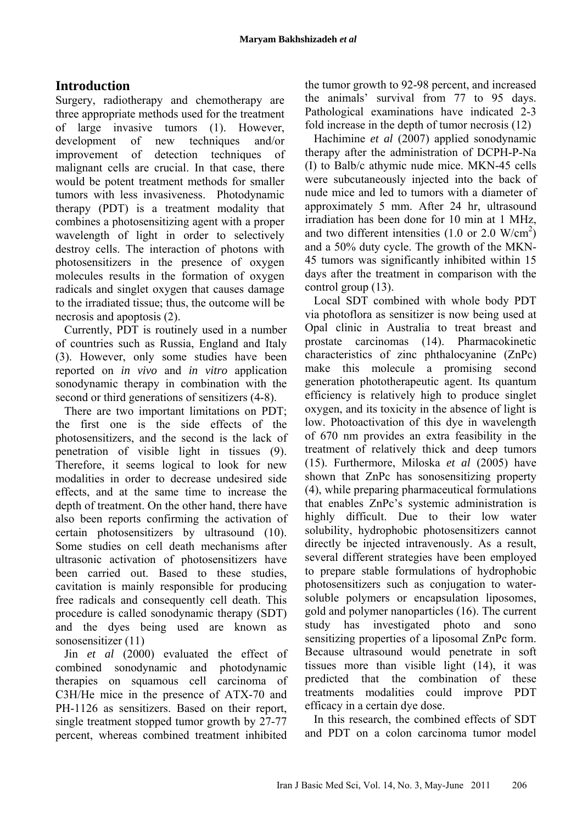# **Introduction**

Surgery, radiotherapy and chemotherapy are three appropriate methods used for the treatment of large invasive tumors (1). However, development of new techniques and/or improvement of detection techniques of malignant cells are crucial. In that case, there would be potent treatment methods for smaller tumors with less invasiveness. Photodynamic therapy (PDT) is a treatment modality that combines a photosensitizing agent with a proper wavelength of light in order to selectively destroy cells. The interaction of photons with photosensitizers in the presence of oxygen molecules results in the formation of oxygen radicals and singlet oxygen that causes damage to the irradiated tissue; thus, the outcome will be necrosis and apoptosis (2).

Currently, PDT is routinely used in a number of countries such as Russia, England and Italy (3). However, only some studies have been reported on *in vivo* and *in vitro* application sonodynamic therapy in combination with the second or third generations of sensitizers (4-8).

There are two important limitations on PDT; the first one is the side effects of the photosensitizers, and the second is the lack of penetration of visible light in tissues (9). Therefore, it seems logical to look for new modalities in order to decrease undesired side effects, and at the same time to increase the depth of treatment. On the other hand, there have also been reports confirming the activation of certain photosensitizers by ultrasound (10). Some studies on cell death mechanisms after ultrasonic activation of photosensitizers have been carried out. Based to these studies, cavitation is mainly responsible for producing free radicals and consequently cell death. This procedure is called sonodynamic therapy (SDT) and the dyes being used are known as sonosensitizer (11)

Jin *et al* (2000) evaluated the effect of combined sonodynamic and photodynamic therapies on squamous cell carcinoma of C3H/He mice in the presence of ATX-70 and PH-1126 as sensitizers. Based on their report, single treatment stopped tumor growth by 27-77 percent, whereas combined treatment inhibited the tumor growth to 92-98 percent, and increased the animals' survival from 77 to 95 days. Pathological examinations have indicated 2-3 fold increase in the depth of tumor necrosis (12)

Hachimine *et al* (2007) applied sonodynamic therapy after the administration of DCPH-P-Na (I) to Balb/c athymic nude mice. MKN-45 cells were subcutaneously injected into the back of nude mice and led to tumors with a diameter of approximately 5 mm. After 24 hr, ultrasound irradiation has been done for 10 min at 1 MHz, and two different intensities  $(1.0 \text{ or } 2.0 \text{ W/cm}^2)$ and a 50% duty cycle. The growth of the MKN-45 tumors was significantly inhibited within 15 days after the treatment in comparison with the control group (13).

Local SDT combined with whole body PDT via photoflora as sensitizer is now being used at Opal clinic in Australia to treat breast and prostate carcinomas (14). Pharmacokinetic characteristics of zinc phthalocyanine (ZnPc) make this molecule a promising second generation phototherapeutic agent. Its quantum efficiency is relatively high to produce singlet oxygen, and its toxicity in the absence of light is low. Photoactivation of this dye in wavelength of 670 nm provides an extra feasibility in the treatment of relatively thick and deep tumors (15). Furthermore, Miloska *et al* (2005) have shown that ZnPc has sonosensitizing property (4), while preparing pharmaceutical formulations that enables ZnPc's systemic administration is highly difficult. Due to their low water solubility, hydrophobic photosensitizers cannot directly be injected intravenously. As a result, several different strategies have been employed to prepare stable formulations of hydrophobic photosensitizers such as conjugation to watersoluble polymers or encapsulation liposomes, gold and polymer nanoparticles (16). The current study has investigated photo and sono sensitizing properties of a liposomal ZnPc form. Because ultrasound would penetrate in soft tissues more than visible light (14), it was predicted that the combination of these treatments modalities could improve PDT efficacy in a certain dye dose.

In this research, the combined effects of SDT and PDT on a colon carcinoma tumor model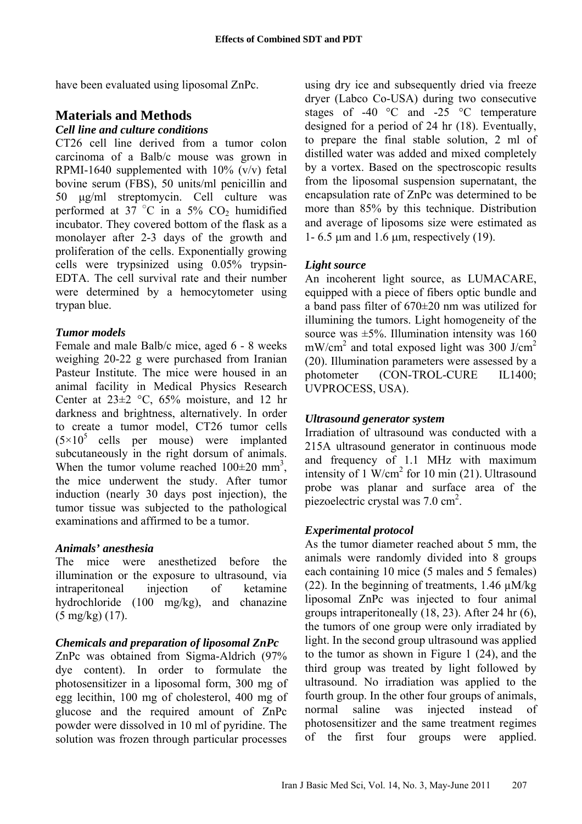have been evaluated using liposomal ZnPc.

# **Materials and Methods**

# *Cell line and culture conditions*

CT26 cell line derived from a tumor colon carcinoma of a Balb/c mouse was grown in RPMI-1640 supplemented with  $10\%$  (v/v) fetal bovine serum (FBS), 50 units/ml penicillin and 50 µg/ml streptomycin. Cell culture was performed at 37  $^{\circ}$ C in a 5% CO<sub>2</sub> humidified incubator. They covered bottom of the flask as a monolayer after 2-3 days of the growth and proliferation of the cells. Exponentially growing cells were trypsinized using 0.05% trypsin-EDTA. The cell survival rate and their number were determined by a hemocytometer using trypan blue.

# *Tumor models*

Female and male Balb/c mice, aged 6 - 8 weeks weighing 20-22 g were purchased from Iranian Pasteur Institute. The mice were housed in an animal facility in Medical Physics Research Center at  $23\pm2$  °C, 65% moisture, and 12 hr darkness and brightness, alternatively. In order to create a tumor model, CT26 tumor cells  $(5\times10^5$  cells per mouse) were implanted subcutaneously in the right dorsum of animals. When the tumor volume reached  $100\pm20$  mm<sup>3</sup>, the mice underwent the study. After tumor induction (nearly 30 days post injection), the tumor tissue was subjected to the pathological examinations and affirmed to be a tumor.

### *Animals' anesthesia*

The mice were anesthetized before the illumination or the exposure to ultrasound, via intraperitoneal injection of ketamine hydrochloride (100 mg/kg), and chanazine (5 mg/kg) (17).

# *Chemicals and preparation of liposomal ZnPc*

ZnPc was obtained from Sigma-Aldrich (97% dye content). In order to formulate the photosensitizer in a liposomal form, 300 mg of egg lecithin, 100 mg of cholesterol, 400 mg of glucose and the required amount of ZnPc powder were dissolved in 10 ml of pyridine. The solution was frozen through particular processes

using dry ice and subsequently dried via freeze dryer (Labco Co-USA) during two consecutive stages of -40 °C and -25 °C temperature designed for a period of 24 hr (18). Eventually, to prepare the final stable solution, 2 ml of distilled water was added and mixed completely by a vortex. Based on the spectroscopic results from the liposomal suspension supernatant, the encapsulation rate of ZnPc was determined to be more than 85% by this technique. Distribution and average of liposoms size were estimated as 1- 6.5  $\mu$ m and 1.6  $\mu$ m, respectively (19).

# *Light source*

An incoherent light source, as LUMACARE, equipped with a piece of fibers optic bundle and a band pass filter of 670±20 nm was utilized for illumining the tumors. Light homogeneity of the source was  $\pm 5\%$ . Illumination intensity was 160  $mW/cm<sup>2</sup>$  and total exposed light was 300 J/cm<sup>2</sup> (20). Illumination parameters were assessed by a photometer (CON-TROL-CURE IL1400; UVPROCESS, USA).

# *Ultrasound generator system*

Irradiation of ultrasound was conducted with a 215A ultrasound generator in continuous mode and frequency of 1.1 MHz with maximum intensity of 1  $W/cm<sup>2</sup>$  for 10 min (21). Ultrasound probe was planar and surface area of the piezoelectric crystal was  $7.0 \text{ cm}^2$ .

# *Experimental protocol*

As the tumor diameter reached about 5 mm, the animals were randomly divided into 8 groups each containing 10 mice (5 males and 5 females) (22). In the beginning of treatments,  $1.46 \mu M/kg$ liposomal ZnPc was injected to four animal groups intraperitoneally (18, 23). After 24 hr (6), the tumors of one group were only irradiated by light. In the second group ultrasound was applied to the tumor as shown in Figure 1 (24), and the third group was treated by light followed by ultrasound. No irradiation was applied to the fourth group. In the other four groups of animals, normal saline was injected instead of photosensitizer and the same treatment regimes of the first four groups were applied.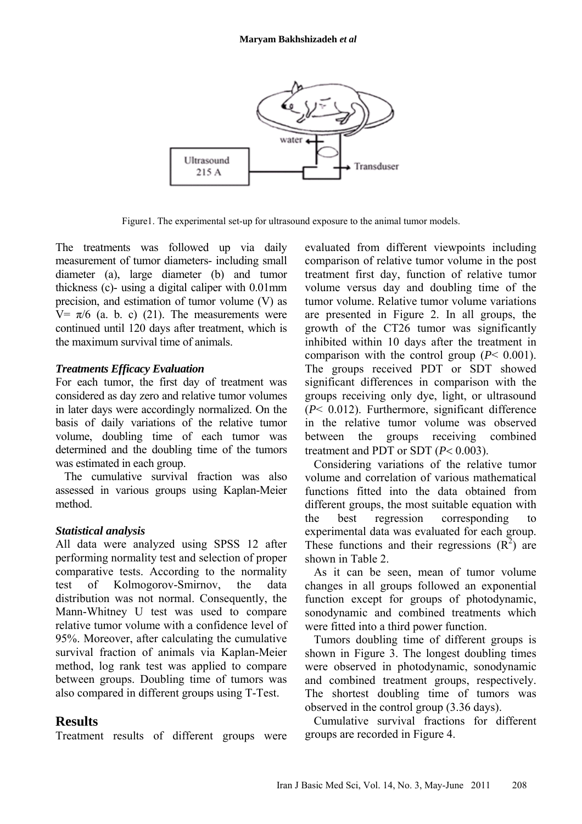

Figure1. The experimental set-up for ultrasound exposure to the animal tumor models.

The treatments was followed up via daily measurement of tumor diameters- including small diameter (a), large diameter (b) and tumor thickness (c)- using a digital caliper with 0.01mm precision, and estimation of tumor volume (V) as V=  $\pi/6$  (a. b. c) (21). The measurements were continued until 120 days after treatment, which is the maximum survival time of animals.

#### *Treatments Efficacy Evaluation*

For each tumor, the first day of treatment was considered as day zero and relative tumor volumes in later days were accordingly normalized. On the basis of daily variations of the relative tumor volume, doubling time of each tumor was determined and the doubling time of the tumors was estimated in each group.

The cumulative survival fraction was also assessed in various groups using Kaplan-Meier method.

### *Statistical analysis*

All data were analyzed using SPSS 12 after performing normality test and selection of proper comparative tests. According to the normality test of Kolmogorov-Smirnov, the data distribution was not normal. Consequently, the Mann-Whitney U test was used to compare relative tumor volume with a confidence level of 95%. Moreover, after calculating the cumulative survival fraction of animals via Kaplan-Meier method, log rank test was applied to compare between groups. Doubling time of tumors was also compared in different groups using T-Test.

# **Results**

Treatment results of different groups were

evaluated from different viewpoints including comparison of relative tumor volume in the post treatment first day, function of relative tumor volume versus day and doubling time of the tumor volume. Relative tumor volume variations are presented in Figure 2. In all groups, the growth of the CT26 tumor was significantly inhibited within 10 days after the treatment in comparison with the control group (*P*< 0.001). The groups received PDT or SDT showed significant differences in comparison with the groups receiving only dye, light, or ultrasound (*P*< 0.012). Furthermore, significant difference in the relative tumor volume was observed between the groups receiving combined treatment and PDT or SDT (*P*< 0.003).

Considering variations of the relative tumor volume and correlation of various mathematical functions fitted into the data obtained from different groups, the most suitable equation with the best regression corresponding to experimental data was evaluated for each group. These functions and their regressions  $(R^2)$  are shown in Table 2.

As it can be seen, mean of tumor volume changes in all groups followed an exponential function except for groups of photodynamic, sonodynamic and combined treatments which were fitted into a third power function.

Tumors doubling time of different groups is shown in Figure 3. The longest doubling times were observed in photodynamic, sonodynamic and combined treatment groups, respectively. The shortest doubling time of tumors was observed in the control group (3.36 days).

Cumulative survival fractions for different groups are recorded in Figure 4.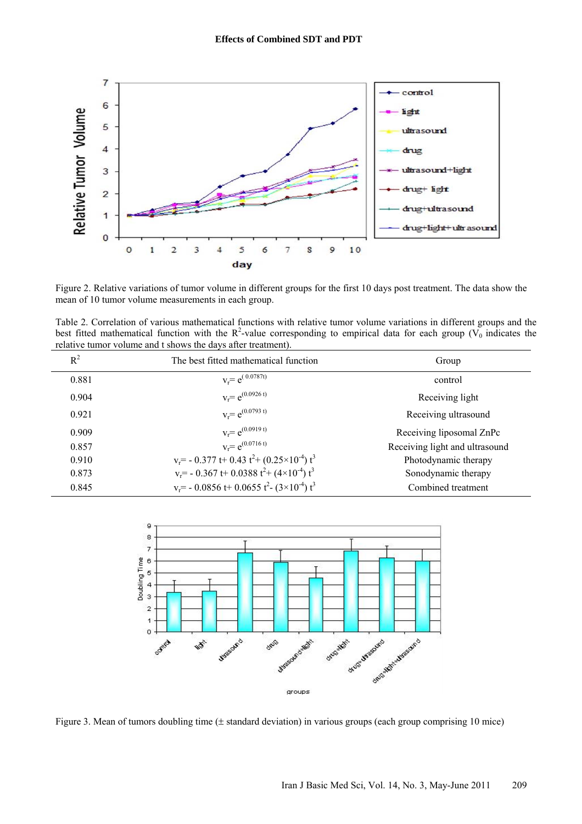

Figure 2. Relative variations of tumor volume in different groups for the first 10 days post treatment. The data show the mean of 10 tumor volume measurements in each group.

Table 2. Correlation of various mathematical functions with relative tumor volume variations in different groups and the best fitted mathematical function with the R<sup>2</sup>-value corresponding to empirical data for each group ( $V_0$  indicates the relative tumor volume and t shows the days after treatment).

| $R^2$ | The best fitted mathematical function                                             | Group                          |
|-------|-----------------------------------------------------------------------------------|--------------------------------|
| 0.881 | $v_r = e^{(.0.0787t)}$                                                            | control                        |
| 0.904 | $v_r = e^{(0.0926 t)}$                                                            | Receiving light                |
| 0.921 | $v_r = e^{(0.0793 t)}$                                                            | Receiving ultrasound           |
| 0.909 | $v_r = e^{(0.0919 t)}$                                                            | Receiving liposomal ZnPc       |
| 0.857 | $v_r = e^{(0.0716 t)}$                                                            | Receiving light and ultrasound |
| 0.910 | $v_r$ = - 0.377 t+ 0.43 t <sup>2</sup> + (0.25×10 <sup>-4</sup> ) t <sup>3</sup>  | Photodynamic therapy           |
| 0.873 | $v_r$ = - 0.367 t+ 0.0388 t <sup>2</sup> + (4×10 <sup>-4</sup> ) t <sup>3</sup>   | Sonodynamic therapy            |
| 0.845 | $v_r$ = - 0.0856 t + 0.0655 t <sup>2</sup> - (3×10 <sup>-4</sup> ) t <sup>3</sup> | Combined treatment             |



Figure 3. Mean of tumors doubling time (± standard deviation) in various groups (each group comprising 10 mice)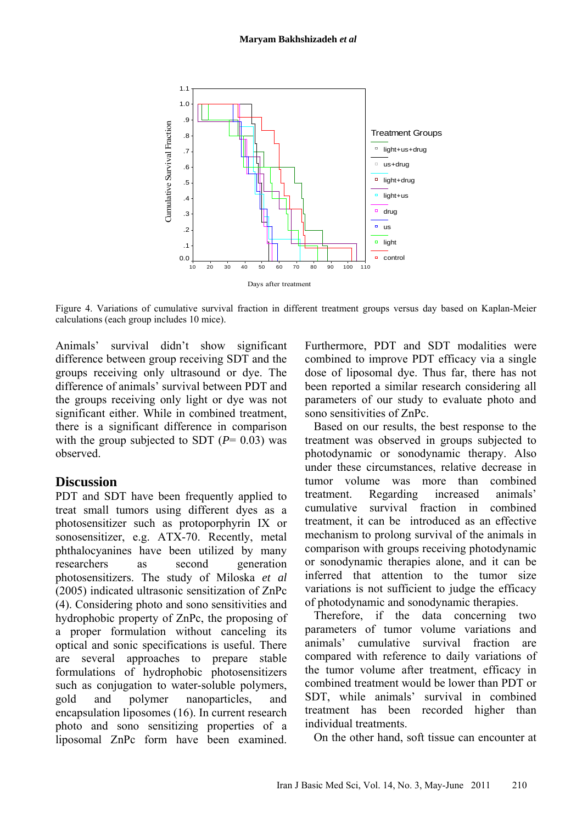

Figure 4. Variations of cumulative survival fraction in different treatment groups versus day based on Kaplan-Meier calculations (each group includes 10 mice).

Animals' survival didn't show significant difference between group receiving SDT and the groups receiving only ultrasound or dye. The difference of animals' survival between PDT and the groups receiving only light or dye was not significant either. While in combined treatment, there is a significant difference in comparison with the group subjected to SDT  $(P= 0.03)$  was observed.

### **Discussion**

PDT and SDT have been frequently applied to treat small tumors using different dyes as a photosensitizer such as protoporphyrin IX or sonosensitizer, e.g. ATX-70. Recently, metal phthalocyanines have been utilized by many researchers as second generation photosensitizers. The study of Miloska *et al* (2005) indicated ultrasonic sensitization of ZnPc (4). Considering photo and sono sensitivities and hydrophobic property of ZnPc, the proposing of a proper formulation without canceling its optical and sonic specifications is useful. There are several approaches to prepare stable formulations of hydrophobic photosensitizers such as conjugation to water-soluble polymers, gold and polymer nanoparticles, and encapsulation liposomes (16). In current research photo and sono sensitizing properties of a liposomal ZnPc form have been examined.

Furthermore, PDT and SDT modalities were combined to improve PDT efficacy via a single dose of liposomal dye. Thus far, there has not been reported a similar research considering all parameters of our study to evaluate photo and sono sensitivities of ZnPc.

Based on our results, the best response to the treatment was observed in groups subjected to photodynamic or sonodynamic therapy. Also under these circumstances, relative decrease in tumor volume was more than combined treatment. Regarding increased animals' cumulative survival fraction in combined treatment, it can be introduced as an effective mechanism to prolong survival of the animals in comparison with groups receiving photodynamic or sonodynamic therapies alone, and it can be inferred that attention to the tumor size variations is not sufficient to judge the efficacy of photodynamic and sonodynamic therapies.

Therefore, if the data concerning two parameters of tumor volume variations and animals' cumulative survival fraction are compared with reference to daily variations of the tumor volume after treatment, efficacy in combined treatment would be lower than PDT or SDT, while animals' survival in combined treatment has been recorded higher than individual treatments.

On the other hand, soft tissue can encounter at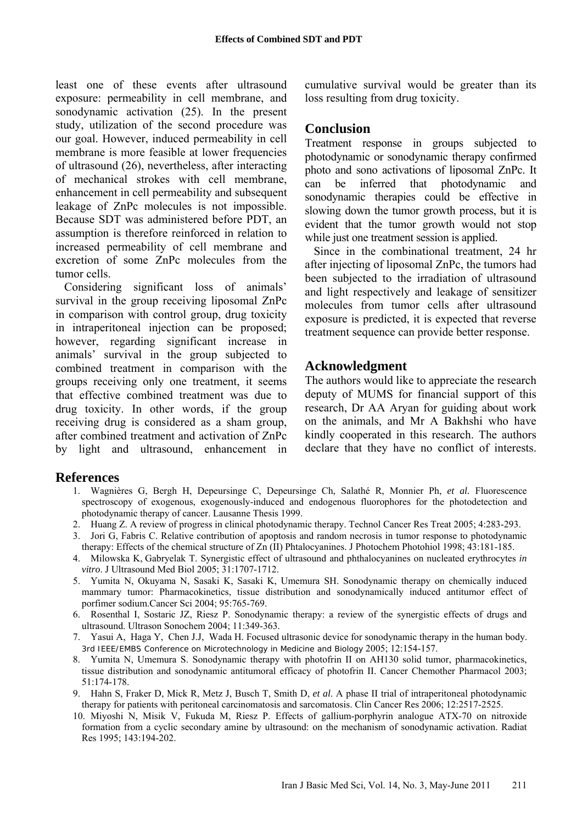least one of these events after ultrasound exposure: permeability in cell membrane, and sonodynamic activation (25). In the present study, utilization of the second procedure was our goal. However, induced permeability in cell membrane is more feasible at lower frequencies of ultrasound (26), nevertheless, after interacting of mechanical strokes with cell membrane, enhancement in cell permeability and subsequent leakage of ZnPc molecules is not impossible. Because SDT was administered before PDT, an assumption is therefore reinforced in relation to increased permeability of cell membrane and excretion of some ZnPc molecules from the tumor cells.

Considering significant loss of animals' survival in the group receiving liposomal ZnPc in comparison with control group, drug toxicity in intraperitoneal injection can be proposed; however, regarding significant increase in animals' survival in the group subjected to combined treatment in comparison with the groups receiving only one treatment, it seems that effective combined treatment was due to drug toxicity. In other words, if the group receiving drug is considered as a sham group, after combined treatment and activation of ZnPc by light and ultrasound, enhancement in cumulative survival would be greater than its loss resulting from drug toxicity.

# **Conclusion**

Treatment response in groups subjected to photodynamic or sonodynamic therapy confirmed photo and sono activations of liposomal ZnPc. It can be inferred that photodynamic and sonodynamic therapies could be effective in slowing down the tumor growth process, but it is evident that the tumor growth would not stop while just one treatment session is applied.

Since in the combinational treatment, 24 hr after injecting of liposomal ZnPc, the tumors had been subjected to the irradiation of ultrasound and light respectively and leakage of sensitizer molecules from tumor cells after ultrasound exposure is predicted, it is expected that reverse treatment sequence can provide better response.

# **Acknowledgment**

The authors would like to appreciate the research deputy of MUMS for financial support of this research, Dr AA Aryan for guiding about work on the animals, and Mr A Bakhshi who have kindly cooperated in this research. The authors declare that they have no conflict of interests.

### **References**

- 1. Wagnières G, Bergh H, Depeursinge C, Depeursinge Ch, Salathé R, Monnier Ph, *et al.* Fluorescence spectroscopy of exogenous, exogenously-induced and endogenous fluorophores for the photodetection and photodynamic therapy of cancer. Lausanne Thesis 1999.
- 2. Huang Z. A review of progress in clinical photodynamic therapy. Technol Cancer Res Treat 2005; 4:283-293.
- 3. Jori G, Fabris C. Relative contribution of apoptosis and random necrosis in tumor response to photodynamic therapy: Effects of the chemical structure of Zn (II) Phtalocyanines. J Photochem Photohiol 1998; 43:181-185.
- 4. Milowska K, Gabryelak T. Synergistic effect of ultrasound and phthalocyanines on nucleated erythrocytes *in vitro*. J Ultrasound Med Biol 2005; 31:1707-1712.
- 5. Yumita N, Okuyama N, Sasaki K, Sasaki K, Umemura SH. Sonodynamic therapy on chemically induced mammary tumor: Pharmacokinetics, tissue distribution and sonodynamically induced antitumor effect of porfimer sodium.Cancer Sci 2004; 95:765-769.
- 6. Rosenthal I, Sostaric JZ, Riesz P. Sonodynamic therapy: a review of the synergistic effects of drugs and ultrasound. Ultrason Sonochem 2004; 11:349-363.
- 7. Yasui A, Haga Y, Chen J.J, Wada H. Focused ultrasonic device for sonodynamic therapy in the human body. 3rd IEEE/EMBS Conference on Microtechnology in Medicine and Biology 2005; 12:154-157.
- 8. Yumita N, Umemura S. Sonodynamic therapy with photofrin II on AH130 solid tumor, pharmacokinetics, tissue distribution and sonodynamic antitumoral efficacy of photofrin II. Cancer Chemother Pharmacol 2003; 51:174-178.
- 9. Hahn S, Fraker D, Mick R, Metz J, Busch T, Smith D, *et al*. A phase II trial of intraperitoneal photodynamic therapy for patients with peritoneal carcinomatosis and sarcomatosis. Clin Cancer Res 2006; 12:2517-2525.
- 10. Miyoshi N, Misik V, Fukuda M, Riesz P. Effects of gallium-porphyrin analogue ATX-70 on nitroxide formation from a cyclic secondary amine by ultrasound: on the mechanism of sonodynamic activation. Radiat Res 1995; 143:194-202.